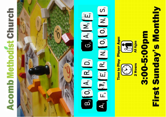# **Acomb Methodist Church**



# $F_3$   $F_2$   $F_3$   $R_1$   $N_1$   $O_2$   $O_3$   $N_1$   $S_1$  $G_2$   $A_1$   $M_3$  $\begin{bmatrix} 0, A, R, D, \end{bmatrix}$  $\overline{\mathbf{B}}$ F

Player A **Time to Play** 

**First Sunday's Monthly** 3:00-5:00pm

**All Ages** 

2 Hours